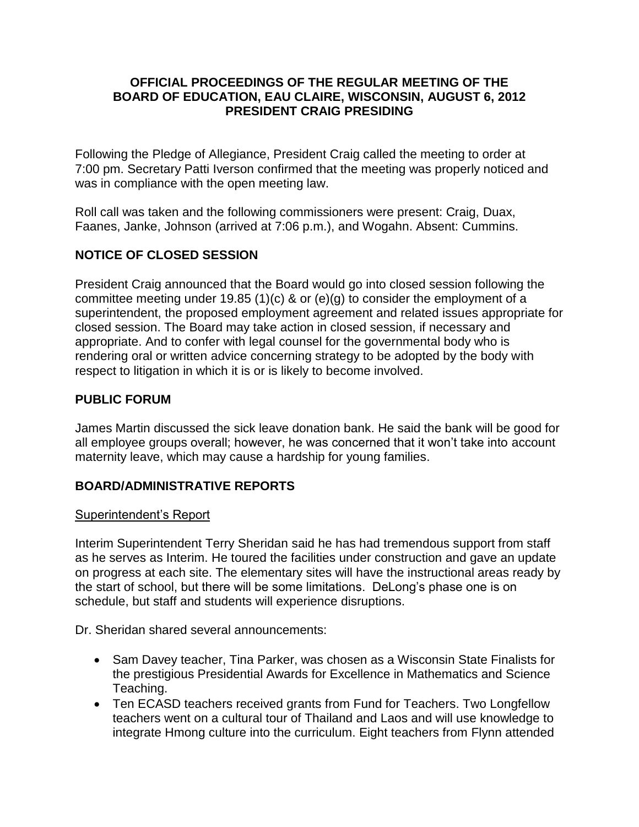#### **OFFICIAL PROCEEDINGS OF THE REGULAR MEETING OF THE BOARD OF EDUCATION, EAU CLAIRE, WISCONSIN, AUGUST 6, 2012 PRESIDENT CRAIG PRESIDING**

Following the Pledge of Allegiance, President Craig called the meeting to order at 7:00 pm. Secretary Patti Iverson confirmed that the meeting was properly noticed and was in compliance with the open meeting law.

Roll call was taken and the following commissioners were present: Craig, Duax, Faanes, Janke, Johnson (arrived at 7:06 p.m.), and Wogahn. Absent: Cummins.

# **NOTICE OF CLOSED SESSION**

President Craig announced that the Board would go into closed session following the committee meeting under 19.85 (1)(c) & or (e)(g) to consider the employment of a superintendent, the proposed employment agreement and related issues appropriate for closed session. The Board may take action in closed session, if necessary and appropriate. And to confer with legal counsel for the governmental body who is rendering oral or written advice concerning strategy to be adopted by the body with respect to litigation in which it is or is likely to become involved.

### **PUBLIC FORUM**

James Martin discussed the sick leave donation bank. He said the bank will be good for all employee groups overall; however, he was concerned that it won't take into account maternity leave, which may cause a hardship for young families.

## **BOARD/ADMINISTRATIVE REPORTS**

#### Superintendent's Report

Interim Superintendent Terry Sheridan said he has had tremendous support from staff as he serves as Interim. He toured the facilities under construction and gave an update on progress at each site. The elementary sites will have the instructional areas ready by the start of school, but there will be some limitations. DeLong's phase one is on schedule, but staff and students will experience disruptions.

Dr. Sheridan shared several announcements:

- Sam Davey teacher, Tina Parker, was chosen as a Wisconsin State Finalists for the prestigious Presidential Awards for Excellence in Mathematics and Science Teaching.
- Ten ECASD teachers received grants from Fund for Teachers. Two Longfellow teachers went on a cultural tour of Thailand and Laos and will use knowledge to integrate Hmong culture into the curriculum. Eight teachers from Flynn attended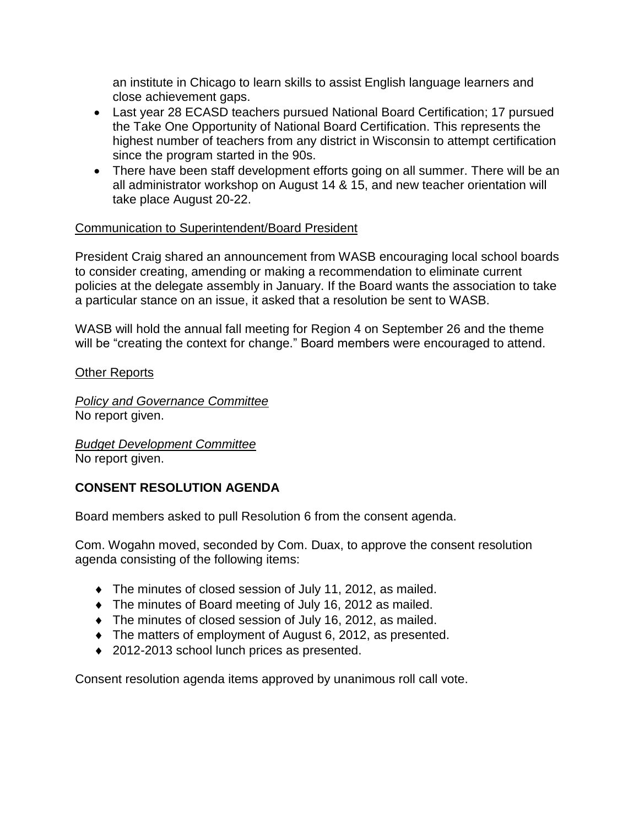an institute in Chicago to learn skills to assist English language learners and close achievement gaps.

- Last year 28 ECASD teachers pursued National Board Certification; 17 pursued the Take One Opportunity of National Board Certification. This represents the highest number of teachers from any district in Wisconsin to attempt certification since the program started in the 90s.
- There have been staff development efforts going on all summer. There will be an all administrator workshop on August 14 & 15, and new teacher orientation will take place August 20-22.

## Communication to Superintendent/Board President

President Craig shared an announcement from WASB encouraging local school boards to consider creating, amending or making a recommendation to eliminate current policies at the delegate assembly in January. If the Board wants the association to take a particular stance on an issue, it asked that a resolution be sent to WASB.

WASB will hold the annual fall meeting for Region 4 on September 26 and the theme will be "creating the context for change." Board members were encouraged to attend.

Other Reports

*Policy and Governance Committee* No report given.

*Budget Development Committee* No report given.

## **CONSENT RESOLUTION AGENDA**

Board members asked to pull Resolution 6 from the consent agenda.

Com. Wogahn moved, seconded by Com. Duax, to approve the consent resolution agenda consisting of the following items:

- The minutes of closed session of July 11, 2012, as mailed.
- The minutes of Board meeting of July 16, 2012 as mailed.
- The minutes of closed session of July 16, 2012, as mailed.
- The matters of employment of August 6, 2012, as presented.
- ◆ 2012-2013 school lunch prices as presented.

Consent resolution agenda items approved by unanimous roll call vote.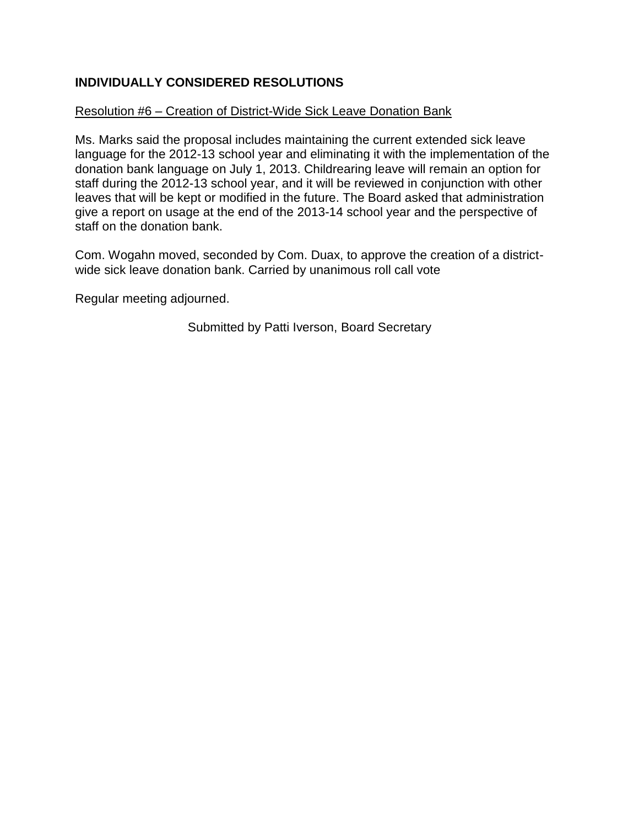# **INDIVIDUALLY CONSIDERED RESOLUTIONS**

#### Resolution #6 – Creation of District-Wide Sick Leave Donation Bank

Ms. Marks said the proposal includes maintaining the current extended sick leave language for the 2012-13 school year and eliminating it with the implementation of the donation bank language on July 1, 2013. Childrearing leave will remain an option for staff during the 2012-13 school year, and it will be reviewed in conjunction with other leaves that will be kept or modified in the future. The Board asked that administration give a report on usage at the end of the 2013-14 school year and the perspective of staff on the donation bank.

Com. Wogahn moved, seconded by Com. Duax, to approve the creation of a districtwide sick leave donation bank. Carried by unanimous roll call vote

Regular meeting adjourned.

Submitted by Patti Iverson, Board Secretary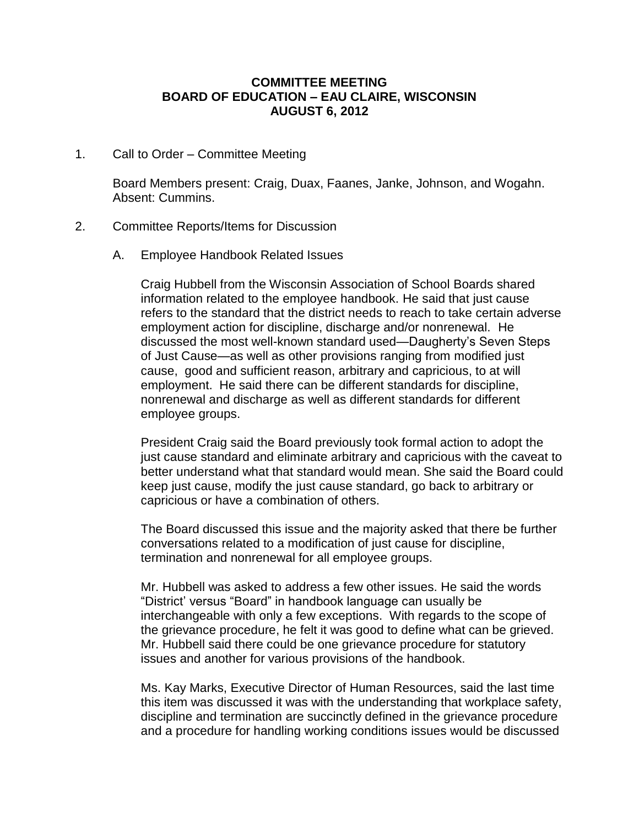#### **COMMITTEE MEETING BOARD OF EDUCATION – EAU CLAIRE, WISCONSIN AUGUST 6, 2012**

1. Call to Order – Committee Meeting

Board Members present: Craig, Duax, Faanes, Janke, Johnson, and Wogahn. Absent: Cummins.

#### 2. Committee Reports/Items for Discussion

A. Employee Handbook Related Issues

Craig Hubbell from the Wisconsin Association of School Boards shared information related to the employee handbook. He said that just cause refers to the standard that the district needs to reach to take certain adverse employment action for discipline, discharge and/or nonrenewal. He discussed the most well-known standard used—Daugherty's Seven Steps of Just Cause—as well as other provisions ranging from modified just cause, good and sufficient reason, arbitrary and capricious, to at will employment. He said there can be different standards for discipline, nonrenewal and discharge as well as different standards for different employee groups.

President Craig said the Board previously took formal action to adopt the just cause standard and eliminate arbitrary and capricious with the caveat to better understand what that standard would mean. She said the Board could keep just cause, modify the just cause standard, go back to arbitrary or capricious or have a combination of others.

The Board discussed this issue and the majority asked that there be further conversations related to a modification of just cause for discipline, termination and nonrenewal for all employee groups.

Mr. Hubbell was asked to address a few other issues. He said the words "District' versus "Board" in handbook language can usually be interchangeable with only a few exceptions. With regards to the scope of the grievance procedure, he felt it was good to define what can be grieved. Mr. Hubbell said there could be one grievance procedure for statutory issues and another for various provisions of the handbook.

Ms. Kay Marks, Executive Director of Human Resources, said the last time this item was discussed it was with the understanding that workplace safety, discipline and termination are succinctly defined in the grievance procedure and a procedure for handling working conditions issues would be discussed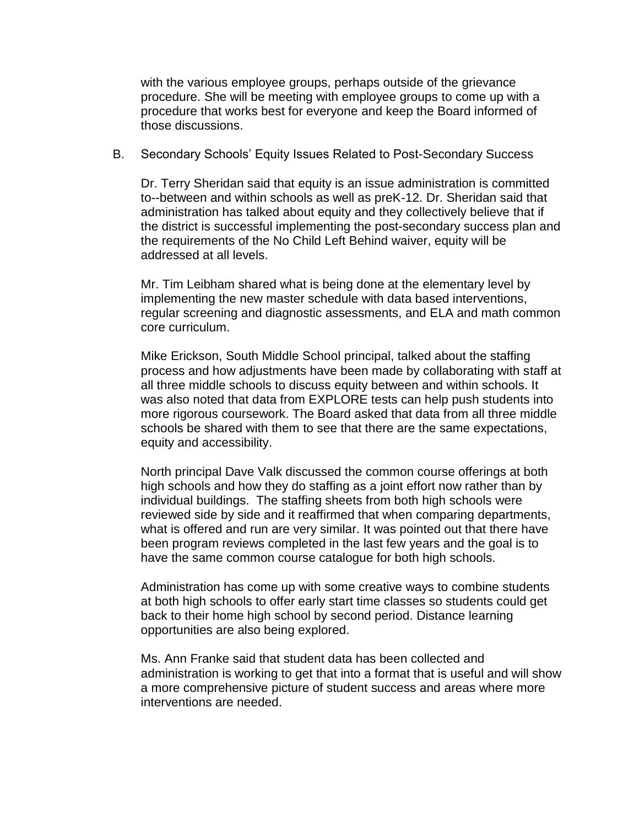with the various employee groups, perhaps outside of the grievance procedure. She will be meeting with employee groups to come up with a procedure that works best for everyone and keep the Board informed of those discussions.

B. Secondary Schools' Equity Issues Related to Post-Secondary Success

Dr. Terry Sheridan said that equity is an issue administration is committed to--between and within schools as well as preK-12. Dr. Sheridan said that administration has talked about equity and they collectively believe that if the district is successful implementing the post-secondary success plan and the requirements of the No Child Left Behind waiver, equity will be addressed at all levels.

Mr. Tim Leibham shared what is being done at the elementary level by implementing the new master schedule with data based interventions, regular screening and diagnostic assessments, and ELA and math common core curriculum.

Mike Erickson, South Middle School principal, talked about the staffing process and how adjustments have been made by collaborating with staff at all three middle schools to discuss equity between and within schools. It was also noted that data from EXPLORE tests can help push students into more rigorous coursework. The Board asked that data from all three middle schools be shared with them to see that there are the same expectations, equity and accessibility.

North principal Dave Valk discussed the common course offerings at both high schools and how they do staffing as a joint effort now rather than by individual buildings. The staffing sheets from both high schools were reviewed side by side and it reaffirmed that when comparing departments, what is offered and run are very similar. It was pointed out that there have been program reviews completed in the last few years and the goal is to have the same common course catalogue for both high schools.

Administration has come up with some creative ways to combine students at both high schools to offer early start time classes so students could get back to their home high school by second period. Distance learning opportunities are also being explored.

Ms. Ann Franke said that student data has been collected and administration is working to get that into a format that is useful and will show a more comprehensive picture of student success and areas where more interventions are needed.